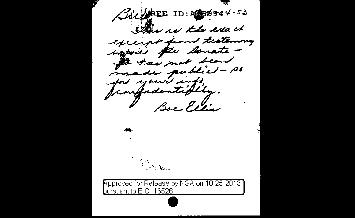$\beta u$ UREE ID:  $10.869944 - 53$ This is the exact except from testemony bagaie fle senate -I has not been made public - so for your info. Boe Ellis ساءتة كالكتاب Approved for Release by NSA on 10-25-2013 pursuant to E.O. 13526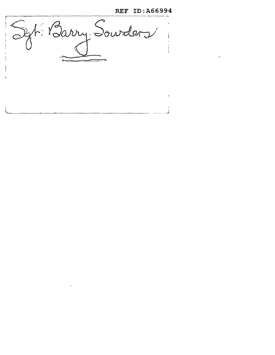REF ID:A66994

Syt. Barry Sourders  $\sim 4$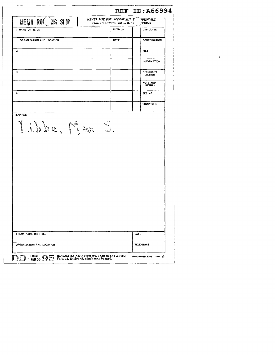| <b>MEMO ROL AG SLIP</b>         | NEVER USE FOR APPROVALS, $\Gamma$<br>CONCURRENCES OR SIMILA | PROVALS,<br>TIONS                 |
|---------------------------------|-------------------------------------------------------------|-----------------------------------|
| 1 NAME OR TITLE                 | <b>INITIALS</b>                                             | <b>CIRCULATE</b>                  |
| ORGANIZATION AND LOCATION       | DATE                                                        | COORDINATION                      |
| $\mathbf{2}$                    |                                                             | <b>FILE</b>                       |
|                                 |                                                             | <b>INFORMATION</b>                |
|                                 |                                                             | <b>NECESSARY</b><br><b>ACTION</b> |
|                                 |                                                             | <b>NOTE AND</b><br><b>RETURN</b>  |
|                                 |                                                             | SEE ME                            |
|                                 |                                                             | <b>SIGNATURE</b>                  |
| <b>REMARKS</b><br>Libbe, Max S. |                                                             |                                   |
|                                 |                                                             |                                   |

 $\mathcal{L}^{\text{max}}_{\text{max}}$ 

 $\ddot{\bullet}$